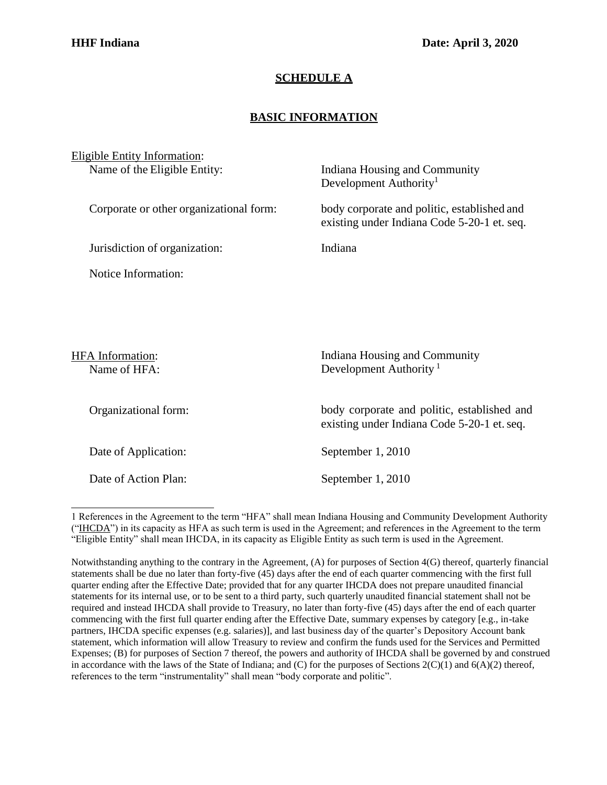## **SCHEDULE A**

## **BASIC INFORMATION**

| <b>Eligible Entity Information:</b>     |                                                                                            |
|-----------------------------------------|--------------------------------------------------------------------------------------------|
| Name of the Eligible Entity:            | Indiana Housing and Community<br>Development Authority <sup>1</sup>                        |
| Corporate or other organizational form: | body corporate and politic, established and<br>existing under Indiana Code 5-20-1 et. seq. |
| Jurisdiction of organization:           | Indiana                                                                                    |
| Notice Information:                     |                                                                                            |
|                                         |                                                                                            |
|                                         |                                                                                            |
| HFA Information:<br>Name of HFA:        | Indiana Housing and Community<br>Development Authority <sup>1</sup>                        |
| Organizational form:                    | body corporate and politic, established and<br>existing under Indiana Code 5-20-1 et. seq. |
| Date of Application:                    | September 1, 2010                                                                          |
|                                         |                                                                                            |

Date of Action Plan: September 1, 2010

<span id="page-0-0"></span><sup>1</sup> References in the Agreement to the term "HFA" shall mean Indiana Housing and Community Development Authority ("IHCDA") in its capacity as HFA as such term is used in the Agreement; and references in the Agreement to the term "Eligible Entity" shall mean IHCDA, in its capacity as Eligible Entity as such term is used in the Agreement.

Notwithstanding anything to the contrary in the Agreement, (A) for purposes of Section 4(G) thereof, quarterly financial statements shall be due no later than forty-five (45) days after the end of each quarter commencing with the first full quarter ending after the Effective Date; provided that for any quarter IHCDA does not prepare unaudited financial statements for its internal use, or to be sent to a third party, such quarterly unaudited financial statement shall not be required and instead IHCDA shall provide to Treasury, no later than forty-five (45) days after the end of each quarter commencing with the first full quarter ending after the Effective Date, summary expenses by category [e.g., in-take partners, IHCDA specific expenses (e.g. salaries)], and last business day of the quarter's Depository Account bank statement, which information will allow Treasury to review and confirm the funds used for the Services and Permitted Expenses; (B) for purposes of Section 7 thereof, the powers and authority of IHCDA shall be governed by and construed in accordance with the laws of the State of Indiana; and  $(C)$  for the purposes of Sections  $2(C)(1)$  and  $6(A)(2)$  thereof, references to the term "instrumentality" shall mean "body corporate and politic".